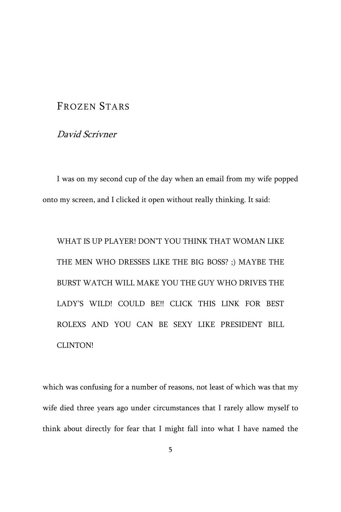## FROZEN STARS

## David Scrivner

I was on my second cup of the day when an email from my wife popped onto my screen, and I clicked it open without really thinking. It said:

WHAT IS UP PLAYER! DON'T YOU THINK THAT WOMAN LIKE THE MEN WHO DRESSES LIKE THE BIG BOSS? ;) MAYBE THE BURST WATCH WILL MAKE YOU THE GUY WHO DRIVES THE LADY'S WILD! COULD BE!! CLICK THIS LINK FOR BEST ROLEXS AND YOU CAN BE SEXY LIKE PRESIDENT BILL **CLINTON!** 

which was confusing for a number of reasons, not least of which was that my wife died three years ago under circumstances that I rarely allow myself to think about directly for fear that I might fall into what I have named the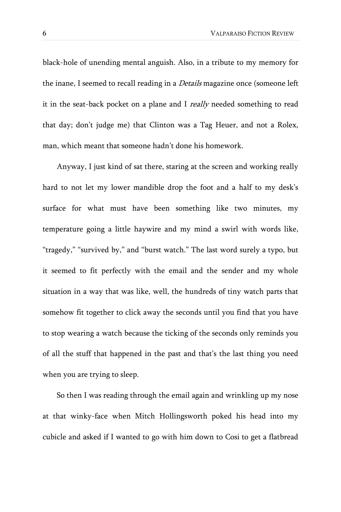black-hole of unending mental anguish. Also, in a tribute to my memory for the inane, I seemed to recall reading in a *Details* magazine once (someone left it in the seat-back pocket on a plane and I *really* needed something to read that day; don't judge me) that Clinton was a Tag Heuer, and not a Rolex, man, which meant that someone hadn't done his homework.

Anyway, I just kind of sat there, staring at the screen and working really hard to not let my lower mandible drop the foot and a half to my desk's surface for what must have been something like two minutes, my temperature going a little haywire and my mind a swirl with words like, "tragedy," "survived by," and "burst watch." The last word surely a typo, but it seemed to fit perfectly with the email and the sender and my whole situation in a way that was like, well, the hundreds of tiny watch parts that somehow fit together to click away the seconds until you find that you have to stop wearing a watch because the ticking of the seconds only reminds you of all the stuff that happened in the past and that's the last thing you need when you are trying to sleep.

So then I was reading through the email again and wrinkling up my nose at that winky-face when Mitch Hollingsworth poked his head into my cubicle and asked if I wanted to go with him down to Cosi to get a flatbread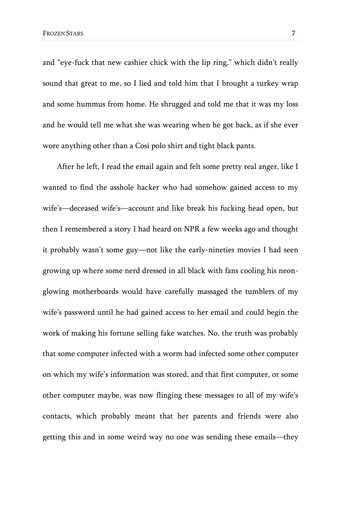and "eye-fuck that new cashier chick with the lip ring," which didn't really sound that great to me, so I lied and told him that I brought a turkey wrap and some hummus from home. He shrugged and told me that it was my loss and he would tell me what she was wearing when he got back, as if she ever wore anything other than a Cosi polo shirt and tight black pants.

After he left, I read the email again and felt some pretty real anger, like I wanted to find the asshole hacker who had somehow gained access to my wife's—deceased wife's—account and like break his fucking head open, but then I remembered a story I had heard on NPR a few weeks ago and thought it probably wasn't some guy—not like the early-nineties movies I had seen growing up where some nerd dressed in all black with fans cooling his neonglowing motherboards would have carefully massaged the tumblers of my wife's password until he had gained access to her email and could begin the work of making his fortune selling fake watches. No, the truth was probably that some computer infected with a worm had infected some other computer on which my wife's information was stored, and that first computer, or some other computer maybe, was now flinging these messages to all of my wife's contacts, which probably meant that her parents and friends were also getting this and in some weird way no one was sending these emails—they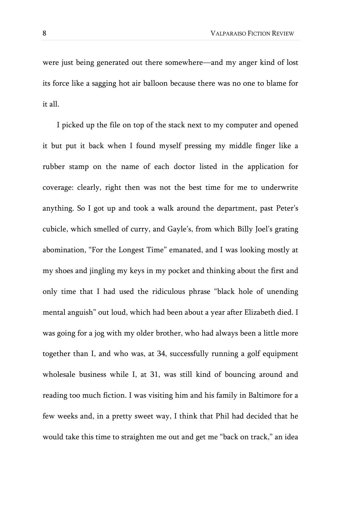were just being generated out there somewhere—and my anger kind of lost its force like a sagging hot air balloon because there was no one to blame for it all.

I picked up the file on top of the stack next to my computer and opened it but put it back when I found myself pressing my middle finger like a rubber stamp on the name of each doctor listed in the application for coverage: clearly, right then was not the best time for me to underwrite anything. So I got up and took a walk around the department, past Peter's cubicle, which smelled of curry, and Gayle's, from which Billy Joel's grating abomination, "For the Longest Time" emanated, and I was looking mostly at my shoes and jingling my keys in my pocket and thinking about the first and only time that I had used the ridiculous phrase "black hole of unending mental anguish" out loud, which had been about a year after Elizabeth died. I was going for a jog with my older brother, who had always been a little more together than I, and who was, at 34, successfully running a golf equipment wholesale business while I, at 31, was still kind of bouncing around and reading too much fiction. I was visiting him and his family in Baltimore for a few weeks and, in a pretty sweet way, I think that Phil had decided that he would take this time to straighten me out and get me "back on track," an idea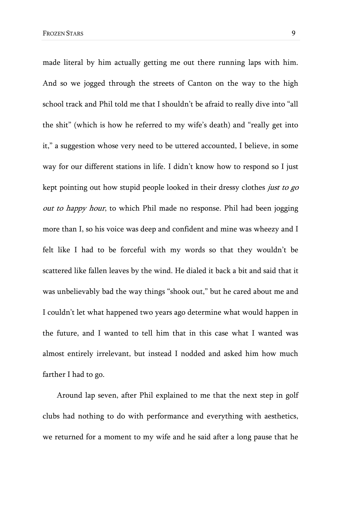made literal by him actually getting me out there running laps with him. And so we jogged through the streets of Canton on the way to the high school track and Phil told me that I shouldn't be afraid to really dive into "all the shit" (which is how he referred to my wife's death) and "really get into it," a suggestion whose very need to be uttered accounted, I believe, in some way for our different stations in life. I didn't know how to respond so I just kept pointing out how stupid people looked in their dressy clothes just to go out to happy hour, to which Phil made no response. Phil had been jogging more than I, so his voice was deep and confident and mine was wheezy and I felt like I had to be forceful with my words so that they wouldn't be scattered like fallen leaves by the wind. He dialed it back a bit and said that it was unbelievably bad the way things "shook out," but he cared about me and I couldn't let what happened two years ago determine what would happen in the future, and I wanted to tell him that in this case what I wanted was almost entirely irrelevant, but instead I nodded and asked him how much farther I had to go.

Around lap seven, after Phil explained to me that the next step in golf clubs had nothing to do with performance and everything with aesthetics, we returned for a moment to my wife and he said after a long pause that he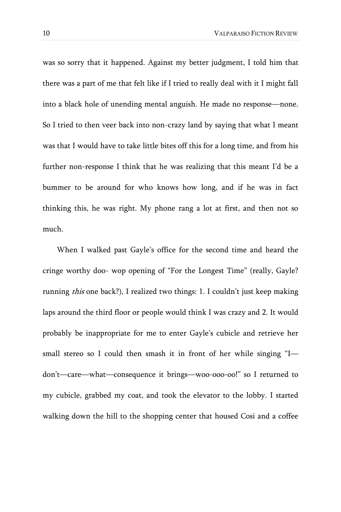was so sorry that it happened. Against my better judgment, I told him that there was a part of me that felt like if I tried to really deal with it I might fall into a black hole of unending mental anguish. He made no response—none. So I tried to then veer back into non-crazy land by saying that what I meant was that I would have to take little bites off this for a long time, and from his further non-response I think that he was realizing that this meant I'd be a bummer to be around for who knows how long, and if he was in fact thinking this, he was right. My phone rang a lot at first, and then not so much.

When I walked past Gayle's office for the second time and heard the cringe worthy doo- wop opening of "For the Longest Time" (really, Gayle? running this one back?), I realized two things: 1. I couldn't just keep making laps around the third floor or people would think I was crazy and 2. It would probably be inappropriate for me to enter Gayle's cubicle and retrieve her small stereo so I could then smash it in front of her while singing "I don't—care—what—consequence it brings—woo-ooo-oo!" so I returned to my cubicle, grabbed my coat, and took the elevator to the lobby. I started walking down the hill to the shopping center that housed Cosi and a coffee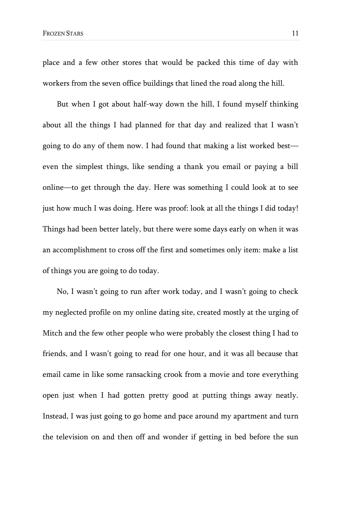place and a few other stores that would be packed this time of day with workers from the seven office buildings that lined the road along the hill.

But when I got about half-way down the hill, I found myself thinking about all the things I had planned for that day and realized that I wasn't going to do any of them now. I had found that making a list worked best even the simplest things, like sending a thank you email or paying a bill online—to get through the day. Here was something I could look at to see just how much I was doing. Here was proof: look at all the things I did today! Things had been better lately, but there were some days early on when it was an accomplishment to cross off the first and sometimes only item: make a list of things you are going to do today.

No, I wasn't going to run after work today, and I wasn't going to check my neglected profile on my online dating site, created mostly at the urging of Mitch and the few other people who were probably the closest thing I had to friends, and I wasn't going to read for one hour, and it was all because that email came in like some ransacking crook from a movie and tore everything open just when I had gotten pretty good at putting things away neatly. Instead, I was just going to go home and pace around my apartment and turn the television on and then off and wonder if getting in bed before the sun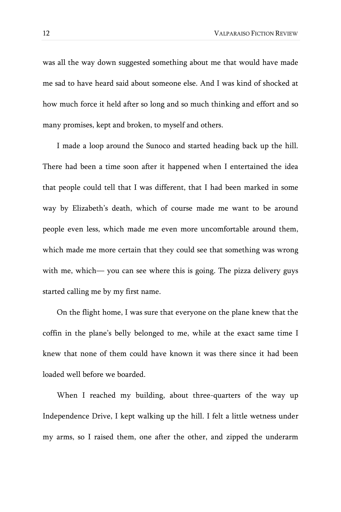was all the way down suggested something about me that would have made me sad to have heard said about someone else. And I was kind of shocked at how much force it held after so long and so much thinking and effort and so many promises, kept and broken, to myself and others.

I made a loop around the Sunoco and started heading back up the hill. There had been a time soon after it happened when I entertained the idea that people could tell that I was different, that I had been marked in some way by Elizabeth's death, which of course made me want to be around people even less, which made me even more uncomfortable around them, which made me more certain that they could see that something was wrong with me, which— you can see where this is going. The pizza delivery guys started calling me by my first name.

On the flight home, I was sure that everyone on the plane knew that the coffin in the plane's belly belonged to me, while at the exact same time I knew that none of them could have known it was there since it had been loaded well before we boarded.

When I reached my building, about three-quarters of the way up Independence Drive, I kept walking up the hill. I felt a little wetness under my arms, so I raised them, one after the other, and zipped the underarm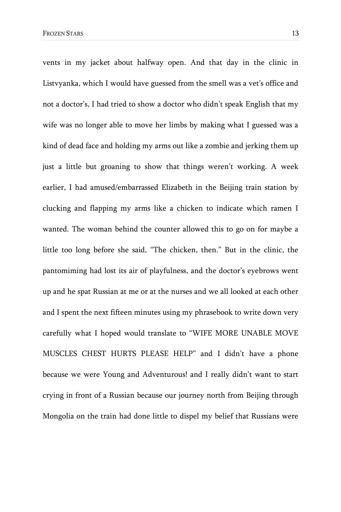vents in my jacket about halfway open. And that day in the clinic in Listvyanka, which I would have guessed from the smell was a vet's office and not a doctor's, I had tried to show a doctor who didn't speak English that my wife was no longer able to move her limbs by making what I guessed was a kind of dead face and holding my arms out like a zombie and jerking them up just a little but groaning to show that things weren't working. A week earlier, I had amused/embarrassed Elizabeth in the Beijing train station by clucking and flapping my arms like a chicken to indicate which ramen I wanted. The woman behind the counter allowed this to go on for maybe a little too long before she said, "The chicken, then." But in the clinic, the pantomiming had lost its air of playfulness, and the doctor's eyebrows went up and he spat Russian at me or at the nurses and we all looked at each other and I spent the next fifteen minutes using my phrasebook to write down very carefully what I hoped would translate to "WIFE MORE UNABLE MOVE MUSCLES CHEST HURTS PLEASE HELP" and I didn't have a phone because we were Young and Adventurous! and I really didn't want to start crying in front of a Russian because our journey north from Beijing through Mongolia on the train had done little to dispel my belief that Russians were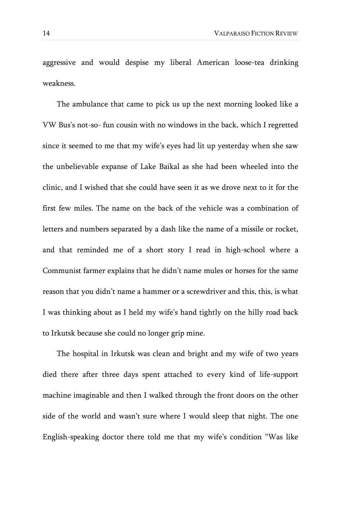aggressive and would despise my liberal American loose-tea drinking weakness.

The ambulance that came to pick us up the next morning looked like a VW Bus's not-so- fun cousin with no windows in the back, which I regretted since it seemed to me that my wife's eyes had lit up yesterday when she saw the unbelievable expanse of Lake Baikal as she had been wheeled into the clinic, and I wished that she could have seen it as we drove next to it for the first few miles. The name on the back of the vehicle was a combination of letters and numbers separated by a dash like the name of a missile or rocket, and that reminded me of a short story I read in high-school where a Communist farmer explains that he didn't name mules or horses for the same reason that you didn't name a hammer or a screwdriver and this, this, is what I was thinking about as I held my wife's hand tightly on the hilly road back to Irkutsk because she could no longer grip mine.

The hospital in Irkutsk was clean and bright and my wife of two years died there after three days spent attached to every kind of life-support machine imaginable and then I walked through the front doors on the other side of the world and wasn't sure where I would sleep that night. The one English-speaking doctor there told me that my wife's condition "Was like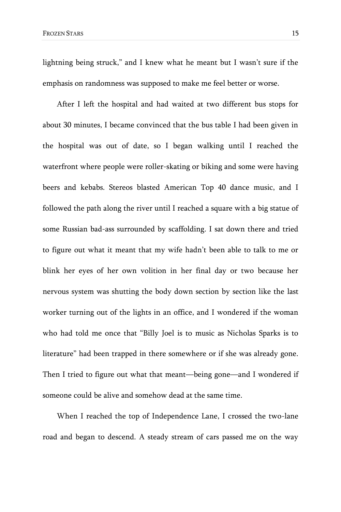lightning being struck," and I knew what he meant but I wasn't sure if the emphasis on randomness was supposed to make me feel better or worse.

After I left the hospital and had waited at two different bus stops for about 30 minutes, I became convinced that the bus table I had been given in the hospital was out of date, so I began walking until I reached the waterfront where people were roller-skating or biking and some were having beers and kebabs. Stereos blasted American Top 40 dance music, and I followed the path along the river until I reached a square with a big statue of some Russian bad-ass surrounded by scaffolding. I sat down there and tried to figure out what it meant that my wife hadn't been able to talk to me or blink her eyes of her own volition in her final day or two because her nervous system was shutting the body down section by section like the last worker turning out of the lights in an office, and I wondered if the woman who had told me once that "Billy Joel is to music as Nicholas Sparks is to literature" had been trapped in there somewhere or if she was already gone. Then I tried to figure out what that meant—being gone—and I wondered if someone could be alive and somehow dead at the same time.

When I reached the top of Independence Lane, I crossed the two-lane road and began to descend. A steady stream of cars passed me on the way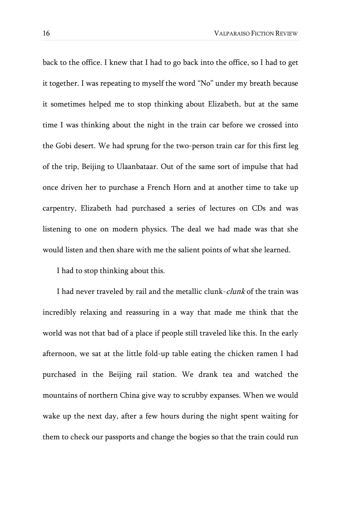back to the office. I knew that I had to go back into the office, so I had to get it together. I was repeating to myself the word "No" under my breath because it sometimes helped me to stop thinking about Elizabeth, but at the same time I was thinking about the night in the train car before we crossed into the Gobi desert. We had sprung for the two-person train car for this first leg of the trip, Beijing to Ulaanbataar. Out of the same sort of impulse that had once driven her to purchase a French Horn and at another time to take up carpentry, Elizabeth had purchased a series of lectures on CDs and was listening to one on modern physics. The deal we had made was that she would listen and then share with me the salient points of what she learned.

I had to stop thinking about this.

I had never traveled by rail and the metallic clunk-clunk of the train was incredibly relaxing and reassuring in a way that made me think that the world was not that bad of a place if people still traveled like this. In the early afternoon, we sat at the little fold-up table eating the chicken ramen I had purchased in the Beijing rail station. We drank tea and watched the mountains of northern China give way to scrubby expanses. When we would wake up the next day, after a few hours during the night spent waiting for them to check our passports and change the bogies so that the train could run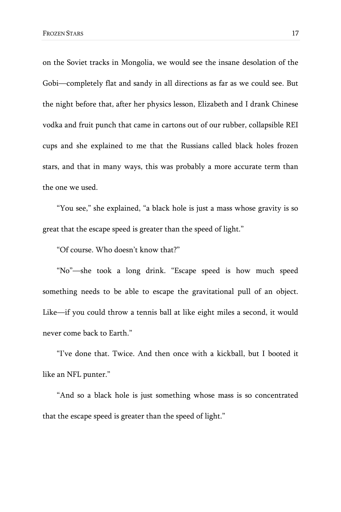on the Soviet tracks in Mongolia, we would see the insane desolation of the Gobi—completely flat and sandy in all directions as far as we could see. But the night before that, after her physics lesson, Elizabeth and I drank Chinese vodka and fruit punch that came in cartons out of our rubber, collapsible REI cups and she explained to me that the Russians called black holes frozen stars, and that in many ways, this was probably a more accurate term than the one we used.

"You see," she explained, "a black hole is just a mass whose gravity is so great that the escape speed is greater than the speed of light."

"Of course. Who doesn't know that?"

"No"—she took a long drink. "Escape speed is how much speed something needs to be able to escape the gravitational pull of an object. Like—if you could throw a tennis ball at like eight miles a second, it would never come back to Earth."

"I've done that. Twice. And then once with a kickball, but I booted it like an NFL punter."

"And so a black hole is just something whose mass is so concentrated that the escape speed is greater than the speed of light."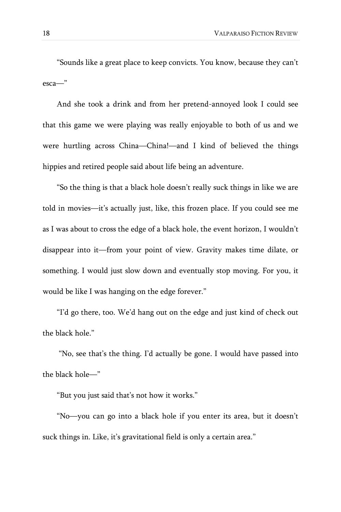"Sounds like a great place to keep convicts. You know, because they can't esca—"

And she took a drink and from her pretend-annoyed look I could see that this game we were playing was really enjoyable to both of us and we were hurtling across China—China!—and I kind of believed the things hippies and retired people said about life being an adventure.

"So the thing is that a black hole doesn't really suck things in like we are told in movies—it's actually just, like, this frozen place. If you could see me as I was about to cross the edge of a black hole, the event horizon, I wouldn't disappear into it—from your point of view. Gravity makes time dilate, or something. I would just slow down and eventually stop moving. For you, it would be like I was hanging on the edge forever."

"I'd go there, too. We'd hang out on the edge and just kind of check out the black hole."

"No, see that's the thing. I'd actually be gone. I would have passed into the black hole—"

"But you just said that's not how it works."

"No—you can go into a black hole if you enter its area, but it doesn't suck things in. Like, it's gravitational field is only a certain area."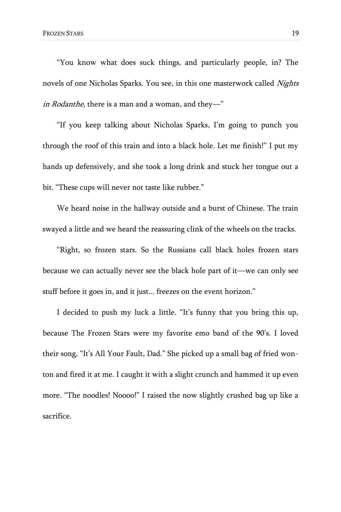"You know what does suck things, and particularly people, in? The novels of one Nicholas Sparks. You see, in this one masterwork called *Nights* in Rodanthe, there is a man and a woman, and they-"

"If you keep talking about Nicholas Sparks, I'm going to punch you through the roof of this train and into a black hole. Let me finish!" I put my hands up defensively, and she took a long drink and stuck her tongue out a bit. "These cups will never not taste like rubber."

We heard noise in the hallway outside and a burst of Chinese. The train swayed a little and we heard the reassuring clink of the wheels on the tracks.

"Right, so frozen stars. So the Russians call black holes frozen stars because we can actually never see the black hole part of it—we can only see stuff before it goes in, and it just... freezes on the event horizon."

I decided to push my luck a little. "It's funny that you bring this up, because The Frozen Stars were my favorite emo band of the 90's. I loved their song, "It's All Your Fault, Dad." She picked up a small bag of fried wonton and fired it at me. I caught it with a slight crunch and hammed it up even more. "The noodles! Noooo!" I raised the now slightly crushed bag up like a sacrifice.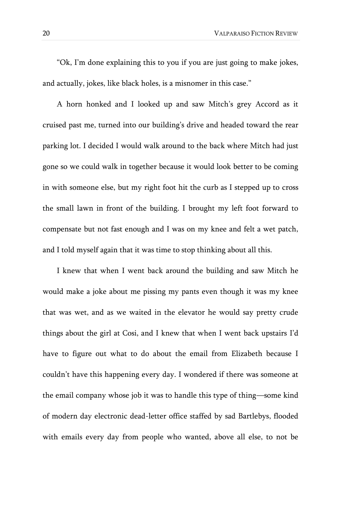"Ok, I'm done explaining this to you if you are just going to make jokes, and actually, jokes, like black holes, is a misnomer in this case."

A horn honked and I looked up and saw Mitch's grey Accord as it cruised past me, turned into our building's drive and headed toward the rear parking lot. I decided I would walk around to the back where Mitch had just gone so we could walk in together because it would look better to be coming in with someone else, but my right foot hit the curb as I stepped up to cross the small lawn in front of the building. I brought my left foot forward to compensate but not fast enough and I was on my knee and felt a wet patch, and I told myself again that it was time to stop thinking about all this.

I knew that when I went back around the building and saw Mitch he would make a joke about me pissing my pants even though it was my knee that was wet, and as we waited in the elevator he would say pretty crude things about the girl at Cosi, and I knew that when I went back upstairs I'd have to figure out what to do about the email from Elizabeth because I couldn't have this happening every day. I wondered if there was someone at the email company whose job it was to handle this type of thing—some kind of modern day electronic dead-letter office staffed by sad Bartlebys, flooded with emails every day from people who wanted, above all else, to not be